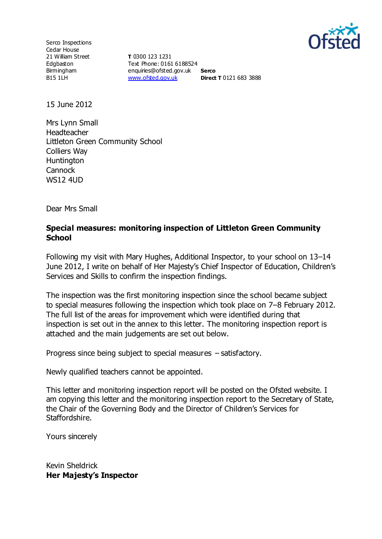

Serco Inspections Cedar House 21 William Street Edgbaston Birmingham B15 1LH

**T** 0300 123 1231 Text Phone: 0161 6188524 enquiries@ofsted.gov.uk **Serco** [www.ofsted.gov.uk](http://www.ofsted.gov.uk/) **Direct T** 0121 683 3888

15 June 2012

Mrs Lynn Small Headteacher Littleton Green Community School Colliers Way **Huntington Cannock** WS12 4UD

Dear Mrs Small

#### **Special measures: monitoring inspection of Littleton Green Community School**

Following my visit with Mary Hughes, Additional Inspector, to your school on 13–14 June 2012, I write on behalf of Her Majesty's Chief Inspector of Education, Children's Services and Skills to confirm the inspection findings.

The inspection was the first monitoring inspection since the school became subject to special measures following the inspection which took place on 7–8 February 2012. The full list of the areas for improvement which were identified during that inspection is set out in the annex to this letter. The monitoring inspection report is attached and the main judgements are set out below.

Progress since being subject to special measures – satisfactory.

Newly qualified teachers cannot be appointed.

This letter and monitoring inspection report will be posted on the Ofsted website. I am copying this letter and the monitoring inspection report to the Secretary of State, the Chair of the Governing Body and the Director of Children's Services for Staffordshire.

Yours sincerely

Kevin Sheldrick **Her Majesty's Inspector**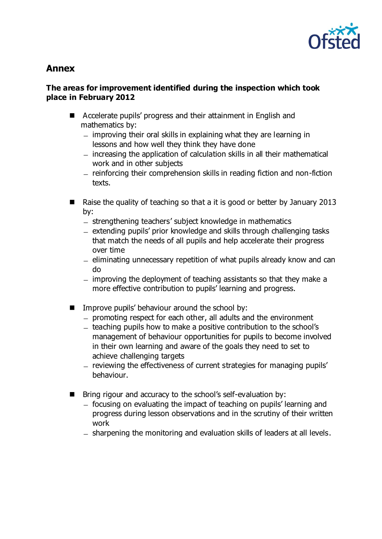

# **Annex**

## **The areas for improvement identified during the inspection which took place in February 2012**

- Accelerate pupils' progress and their attainment in English and mathematics by:
	- $-$  improving their oral skills in explaining what they are learning in lessons and how well they think they have done
	- increasing the application of calculation skills in all their mathematical work and in other subjects
	- reinforcing their comprehension skills in reading fiction and non-fiction texts.
- Raise the quality of teaching so that a it is good or better by January 2013 by:
	- strengthening teachers' subject knowledge in mathematics
	- extending pupils' prior knowledge and skills through challenging tasks that match the needs of all pupils and help accelerate their progress over time
	- $-$  eliminating unnecessary repetition of what pupils already know and can do
	- $-$  improving the deployment of teaching assistants so that they make a more effective contribution to pupils' learning and progress.
- **IMPROVE PUPILS' behaviour around the school by:** 
	- promoting respect for each other, all adults and the environment
	- teaching pupils how to make a positive contribution to the school's management of behaviour opportunities for pupils to become involved in their own learning and aware of the goals they need to set to achieve challenging targets
	- reviewing the effectiveness of current strategies for managing pupils' behaviour.
- $\blacksquare$  Bring rigour and accuracy to the school's self-evaluation by:
	- focusing on evaluating the impact of teaching on pupils' learning and progress during lesson observations and in the scrutiny of their written work
	- sharpening the monitoring and evaluation skills of leaders at all levels.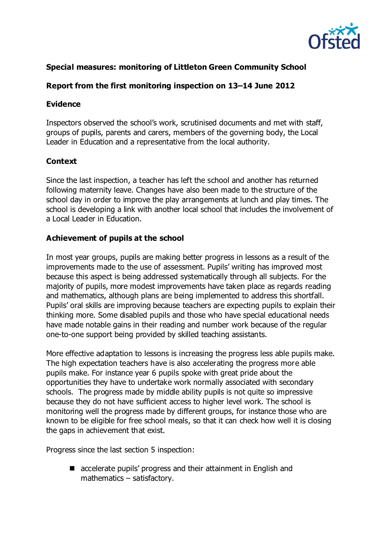

# **Special measures: monitoring of Littleton Green Community School**

# **Report from the first monitoring inspection on 13–14 June 2012**

#### **Evidence**

Inspectors observed the school's work, scrutinised documents and met with staff, groups of pupils, parents and carers, members of the governing body, the Local Leader in Education and a representative from the local authority.

## **Context**

Since the last inspection, a teacher has left the school and another has returned following maternity leave. Changes have also been made to the structure of the school day in order to improve the play arrangements at lunch and play times. The school is developing a link with another local school that includes the involvement of a Local Leader in Education.

## **Achievement of pupils at the school**

In most year groups, pupils are making better progress in lessons as a result of the improvements made to the use of assessment. Pupils' writing has improved most because this aspect is being addressed systematically through all subjects. For the majority of pupils, more modest improvements have taken place as regards reading and mathematics, although plans are being implemented to address this shortfall. Pupils' oral skills are improving because teachers are expecting pupils to explain their thinking more. Some disabled pupils and those who have special educational needs have made notable gains in their reading and number work because of the regular one-to-one support being provided by skilled teaching assistants.

More effective adaptation to lessons is increasing the progress less able pupils make. The high expectation teachers have is also accelerating the progress more able pupils make. For instance year 6 pupils spoke with great pride about the opportunities they have to undertake work normally associated with secondary schools. The progress made by middle ability pupils is not quite so impressive because they do not have sufficient access to higher level work. The school is monitoring well the progress made by different groups, for instance those who are known to be eligible for free school meals, so that it can check how well it is closing the gaps in achievement that exist.

Progress since the last section 5 inspection:

■ accelerate pupils' progress and their attainment in English and mathematics – satisfactory.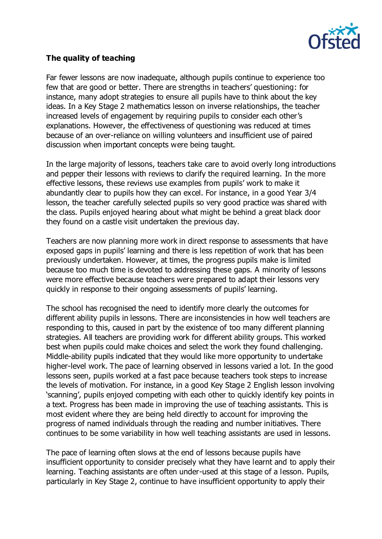

## **The quality of teaching**

Far fewer lessons are now inadequate, although pupils continue to experience too few that are good or better. There are strengths in teachers' questioning: for instance, many adopt strategies to ensure all pupils have to think about the key ideas. In a Key Stage 2 mathematics lesson on inverse relationships, the teacher increased levels of engagement by requiring pupils to consider each other's explanations. However, the effectiveness of questioning was reduced at times because of an over-reliance on willing volunteers and insufficient use of paired discussion when important concepts were being taught.

In the large majority of lessons, teachers take care to avoid overly long introductions and pepper their lessons with reviews to clarify the required learning. In the more effective lessons, these reviews use examples from pupils' work to make it abundantly clear to pupils how they can excel. For instance, in a good Year 3/4 lesson, the teacher carefully selected pupils so very good practice was shared with the class. Pupils enjoyed hearing about what might be behind a great black door they found on a castle visit undertaken the previous day.

Teachers are now planning more work in direct response to assessments that have exposed gaps in pupils' learning and there is less repetition of work that has been previously undertaken. However, at times, the progress pupils make is limited because too much time is devoted to addressing these gaps. A minority of lessons were more effective because teachers were prepared to adapt their lessons very quickly in response to their ongoing assessments of pupils' learning.

The school has recognised the need to identify more clearly the outcomes for different ability pupils in lessons. There are inconsistencies in how well teachers are responding to this, caused in part by the existence of too many different planning strategies. All teachers are providing work for different ability groups. This worked best when pupils could make choices and select the work they found challenging. Middle-ability pupils indicated that they would like more opportunity to undertake higher-level work. The pace of learning observed in lessons varied a lot. In the good lessons seen, pupils worked at a fast pace because teachers took steps to increase the levels of motivation. For instance, in a good Key Stage 2 English lesson involving 'scanning', pupils enjoyed competing with each other to quickly identify key points in a text. Progress has been made in improving the use of teaching assistants. This is most evident where they are being held directly to account for improving the progress of named individuals through the reading and number initiatives. There continues to be some variability in how well teaching assistants are used in lessons.

The pace of learning often slows at the end of lessons because pupils have insufficient opportunity to consider precisely what they have learnt and to apply their learning. Teaching assistants are often under-used at this stage of a lesson. Pupils, particularly in Key Stage 2, continue to have insufficient opportunity to apply their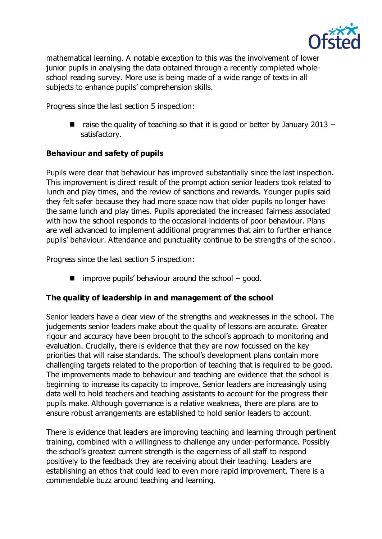

mathematical learning. A notable exception to this was the involvement of lower junior pupils in analysing the data obtained through a recently completed wholeschool reading survey. More use is being made of a wide range of texts in all subjects to enhance pupils' comprehension skills.

Progress since the last section 5 inspection:

 $\blacksquare$  raise the quality of teaching so that it is good or better by January 2013 – satisfactory.

## **Behaviour and safety of pupils**

Pupils were clear that behaviour has improved substantially since the last inspection. This improvement is direct result of the prompt action senior leaders took related to lunch and play times, and the review of sanctions and rewards. Younger pupils said they felt safer because they had more space now that older pupils no longer have the same lunch and play times. Pupils appreciated the increased fairness associated with how the school responds to the occasional incidents of poor behaviour. Plans are well advanced to implement additional programmes that aim to further enhance pupils' behaviour. Attendance and punctuality continue to be strengths of the school.

Progress since the last section 5 inspection:

 $\blacksquare$  improve pupils' behaviour around the school – good.

## **The quality of leadership in and management of the school**

Senior leaders have a clear view of the strengths and weaknesses in the school. The judgements senior leaders make about the quality of lessons are accurate. Greater rigour and accuracy have been brought to the school's approach to monitoring and evaluation. Crucially, there is evidence that they are now focussed on the key priorities that will raise standards. The school's development plans contain more challenging targets related to the proportion of teaching that is required to be good. The improvements made to behaviour and teaching are evidence that the school is beginning to increase its capacity to improve. Senior leaders are increasingly using data well to hold teachers and teaching assistants to account for the progress their pupils make. Although governance is a relative weakness, there are plans are to ensure robust arrangements are established to hold senior leaders to account.

There is evidence that leaders are improving teaching and learning through pertinent training, combined with a willingness to challenge any under-performance. Possibly the school's greatest current strength is the eagerness of all staff to respond positively to the feedback they are receiving about their teaching. Leaders are establishing an ethos that could lead to even more rapid improvement. There is a commendable buzz around teaching and learning.